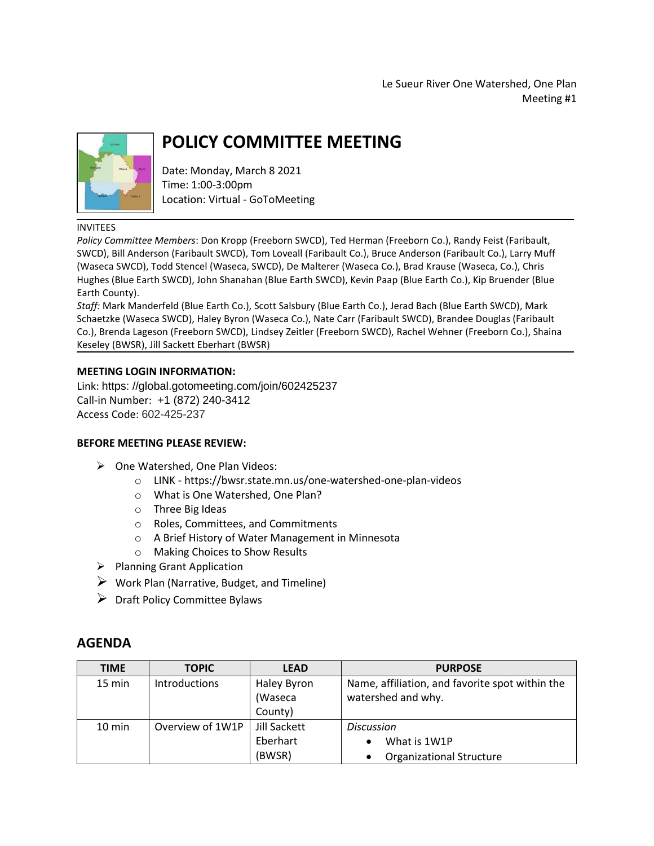Le Sueur River One Watershed, One Plan Meeting #1



# **POLICY COMMITTEE MEETING**

Date: Monday, March 8 2021 Time: 1:00-3:00pm Location: Virtual - GoToMeeting

#### INVITEES

*Policy Committee Members*: Don Kropp (Freeborn SWCD), Ted Herman (Freeborn Co.), Randy Feist (Faribault, SWCD), Bill Anderson (Faribault SWCD), Tom Loveall (Faribault Co.), Bruce Anderson (Faribault Co.), Larry Muff (Waseca SWCD), Todd Stencel (Waseca, SWCD), De Malterer (Waseca Co.), Brad Krause (Waseca, Co.), Chris Hughes (Blue Earth SWCD), John Shanahan (Blue Earth SWCD), Kevin Paap (Blue Earth Co.), Kip Bruender (Blue Earth County).

*Staff:* Mark Manderfeld (Blue Earth Co.), Scott Salsbury (Blue Earth Co.), Jerad Bach (Blue Earth SWCD), Mark Schaetzke (Waseca SWCD), Haley Byron (Waseca Co.), Nate Carr (Faribault SWCD), Brandee Douglas (Faribault Co.), Brenda Lageson (Freeborn SWCD), Lindsey Zeitler (Freeborn SWCD), Rachel Wehner (Freeborn Co.), Shaina Keseley (BWSR), Jill Sackett Eberhart (BWSR)

### **MEETING LOGIN INFORMATION:**

Link: https: [//global.gotomeeting.com/join/602425237](https://global.gotomeeting.com/join/602425237) Call-in Number: [+1 \(872\) 240-3412](tel:+18722403412,,602425237) Access Code: 602-425-237

### **BEFORE MEETING PLEASE REVIEW:**

- $\triangleright$  One Watershed, One Plan Videos:
	- o LINK <https://bwsr.state.mn.us/one-watershed-one-plan-videos>
	- o What is One Watershed, One Plan?
	- o Three Big Ideas
	- o Roles, Committees, and Commitments
	- o A Brief History of Water Management in Minnesota
	- o Making Choices to Show Results
- $\triangleright$  Planning Grant Application
- $\triangleright$  Work Plan (Narrative, Budget, and Timeline)
- $\triangleright$  Draft Policy Committee Bylaws

## **AGENDA**

| <b>TIME</b>      | <b>TOPIC</b>         | <b>LEAD</b>  | <b>PURPOSE</b>                                  |
|------------------|----------------------|--------------|-------------------------------------------------|
| 15 min           | <b>Introductions</b> | Haley Byron  | Name, affiliation, and favorite spot within the |
|                  |                      | (Waseca      | watershed and why.                              |
|                  |                      | County)      |                                                 |
| $10 \text{ min}$ | Overview of 1W1P     | Jill Sackett | <b>Discussion</b>                               |
|                  |                      | Eberhart     | What is 1W1P<br>$\bullet$                       |
|                  |                      | (BWSR)       | <b>Organizational Structure</b><br>$\bullet$    |